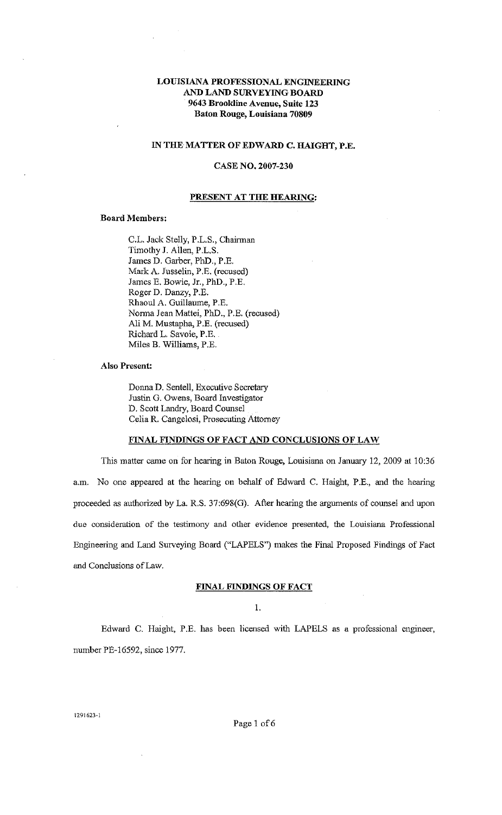# LOUISIANA PROFESSIONAL ENGINEERING AND LAND SURVEYING BOARD 9643 Brookline Avenue, Suite 123 Baton Rouge, Louisiana 70809

# IN THE MATTER OF EDWARD C. HAIGHT, P.E.

### CASE NO. 2007-230

### PRESENT AT THE HEARING:

### Board Members:

C.L. Jack Stelly, P.L.S., Chairman Timothy J. Allen, P.L.S. James D. Garber, PhD., P.E. Mark A. Jusselin, P.E. (recused) James E. Bowie, Jr., PhD., P.E. Roger D. Danzy, P.E. Rhaoul A. Guillaume, P.E. Nonna Jean Mattei, PhD., P.E. (recused) Ali M. Mustapha, P.E. (recused) Richard L. Savoie, P.E. Miles B. Williams, P.E.

## Also Present:

Donna D. Sentell, Executive Secretary Justin G. Owens, Board Investigator D. Scott Landry, Board Counsel Celia R. Cangelosi, Prosecuting Attorney

#### FINAL FINDINGS OF FACT AND CONCLUSIONS OF LAW

This matter came on for hearing in Baton Rouge, Louisiana on January 12, 2009 at 10:36 a.m. No one appeared at the hearing on behalf of Edward C. Haight, P.E., and the hearing proceeded as authorized by La. R.S. 37:698(G). After hearing the arguments of counsel and upon due consideration of the testimony and other evidence presented, the Lcuisiana Professional Engineering and Land Surveying Board ("LAPELS") makes the Final Proposed Findings of Fact and Conclusions of Law.

### FINAL FINDINGS OF FACT

1.

Edward C. Haight, P.E. has been licensed with LAPELS as a professional engmeer, number PE-16592, since 1977.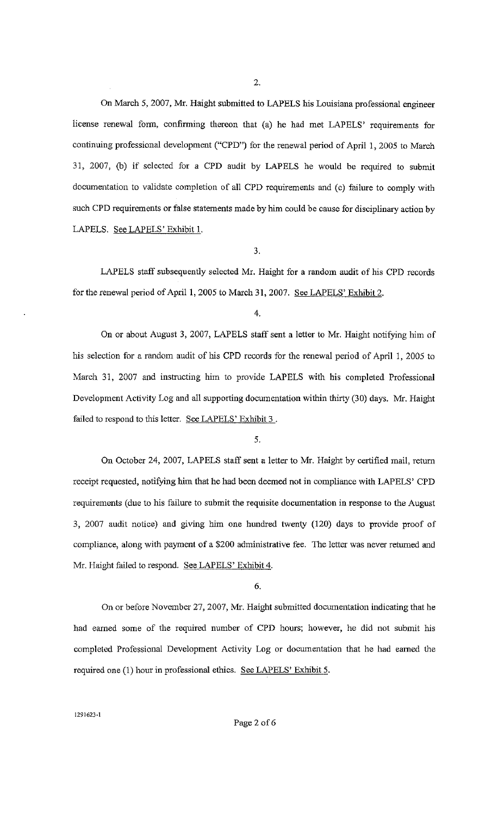On March 5, 2007, Mr. Haight submitted to LAPELS his Lcuisiana professional engineer license renewal fonn, confirming thereon that (a) he had met LAPELS' requirements for continuing professional development ("CPD") for the renewal period of April 1, 2005 to March 31, 2007, (b) if selected for a CPD audit by LAPELS he would be required to submit documentation to validate completion of all CPD requirements and (c) failure to comply with such CPD requirements or false statements made by him could be cause for disciplinary action by LAPELS. See LAPELS' Exhibit I.

3.

LAPELS staff subsequently selected Mr. Haight for a random audit of his CPD records for the renewal period of April 1, 2005 to March 31, 2007. See LAPELS' Exhibit 2.

4.

On or about August 3, 2007, LAPELS staff sent a letter to Mr. Haight notifying him of his selection for a random audit of his CPD records for the renewal period of April 1, 2005 to March 31, 2007 and instructing him to provide LAPELS with his completed Professional Development Activity Log and all supporting documentation within thirty (30) days. Mr. Haight failed to respond to this letter. See LAPELS' Exhibit 3.

On October 24, 2007, LAPELS staff sent a letter to Mr. Haight by certified mail, retun1 receipt requested, notifying him that he had been deemed not in compliance with LAPELS' CPD requirements (due to his failure to submit the requisite documentation in response to the August 3, 2007 audit notice) and giving him one hundred twenty (120) days to provide proof of compliance, along with payment of a \$200 administrative fee. The letter was never returned and Mr. Haight failed to respond. See LAPELS' Exhibit 4.

6.

On or before November 27, 2007, Mr. Haight submitted documentation indicating that he had earned some of the required number of CPD hours; however, he did not submit his completed Professional Development Activity Log or documentation that he had eamed the required one (1) hour in professional ethics. See LAPELS' Exhibit 5.

<sup>5.</sup>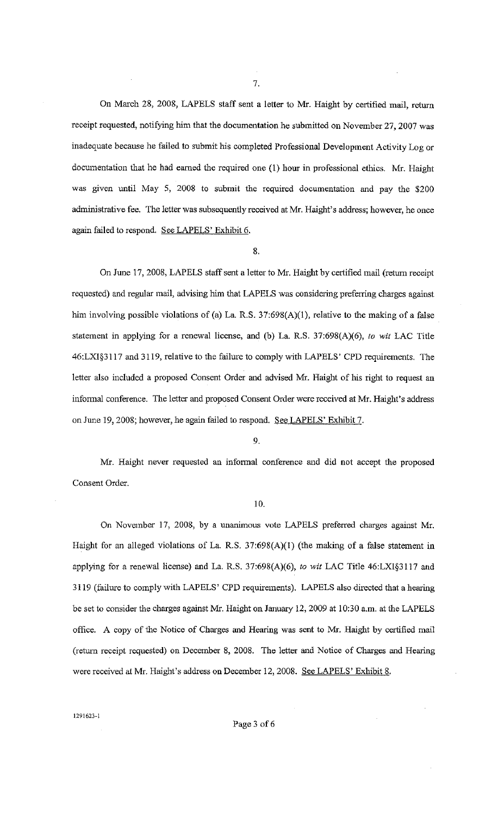On March 28, 2008, LAPELS staff sent a letter to Mr. Haight by certified mail, return receipt requested, notifying him that the documentation he submitted on November 27, 2007 *was*  inadequate because he failed to submit his completed Professional Development Activity Log or documentation that he had earned the required one (1) hour in professional ethics. Mr. Haight was given until May 5, 2008 to submit the required documentation and pay the \$200 administrative fee. The letter was subsequently received at Mr. Haight's address; however, he once again failed to respond. See LAPELS' Exhibit 6.

8.

On June 17, 2008, LAPELS staff sent a letter to Mr. Haight by certified mail (return receipt requested) and regular mail, advising him that LAPELS was considering preferring charges against him involving possible violations of (a) La. R.S. 37:698(A)(1), relative to the making of a false statement in applying for a renewal license, and (b) La. R.S. 37:698(A)(6), *to wit* LAC Title 46:LXI§3117 and 3119, relative to the failure to comply with LAPELS' CPD requirements. The letter also included a proposed Consent Order and advised Mr. Haight of his right to request an informal conference. The letter and proposed Consent Order were received at Mr. Haight's address on June 19, 2008; however, he again failed to respond. See LAPELS' Exhibit 7.

9.

Mr. Haight never requested an informal conference and did not accept the proposed Consent Order.

### 10.

On November 17, 2008, by a unanimous vote LAPELS preferred charges against Mr. Haight for an alleged violations of La. R.S. 37:698(A)(1) (the making of a false statement in applying for a renewal license) and La. R.S. 37:698(A)(6), *to wit* LAC Title 46:LXI§3117 and 3119 (failure to comply with LAPELS' CPD requirements). LAPELS also directed that a hearing be set to consider the charges against Mr. Haight on January 12, 2009 at 10:30 a.m. at the LAPELS office. A copy of the Notice of Charges and Hearing was sent to Mr. Haight by certified mail (return receipt requested) on December 8, 2008. The letter and Notice of Charges and Hearing were received at Mr. Haight's address on December 12, 2008. See LAPELS' Exhibit 8.

7.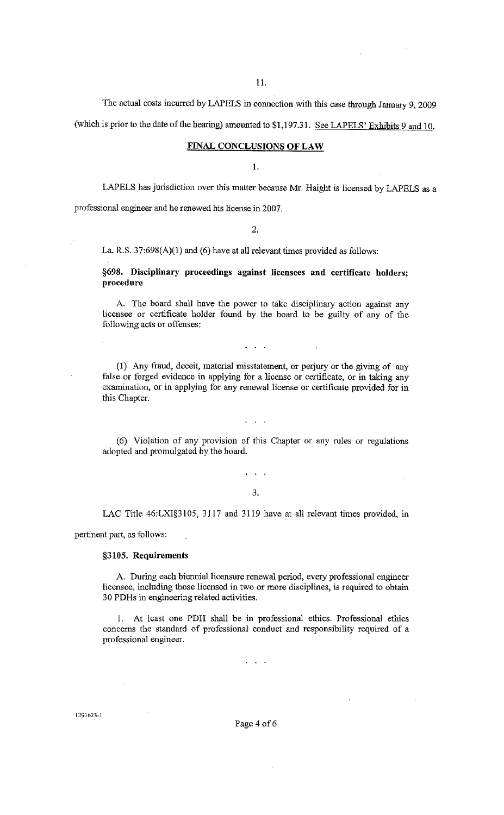11.

The actual costs incurred by LAPELS in connection with this case through January 9, 2009

(which is prior to the date of the hearing) amounted to \$1,197.31. See LAPELS' Exhibits 9 and 10.

### FINAL CONCLUSIONS OF LAW

I.

LAPELS has jurisdiction over this matter because Mr. Haight is licensed by LAPELS as a professional engineer and he renewed his license in 2007.

 $\mathcal{D}$ 

La. R.S. 37:698(A)(l) and (6) have at all relevant times provided as follows:

§698. Disciplinary proceedings against licensees and certificate holders; procedure

A. The board shall have the power to take disciplinary action against any licensee or certificate holder found by the board to be guilty of any of the following acts or offenses:

(I) Any fraud, deceit, material misstatement, or perjury or the giving of any false or forged evidence in applying for a license or certificate, or in taking any examination, or in applying for any renewal license or certificate provided for in this Chapter.

(6) Violation of any provision of this Chapter or any rules or regulations adopted and promulgated by the board.

#### 3.

 $\mathbf{r} = \mathbf{r} - \mathbf{r}$ 

LAC Title 46:LXI§3105, 3117 and 3119 have at all relevant times provided, in

pertinent part, as follows:

### §3105. Requirements

A. During each biennial licensure renewal period, every professional engineer licensee, including those licensed in two or more disciplines, is required to obtain 30 PDHs in engineering related activities.

I. At least one PDH shall be in professional ethics. Professional ethics concerns the standard of professional conduct and responsibility required of a professional engineer.

 $\sim$   $\sim$ 

Page 4 of 6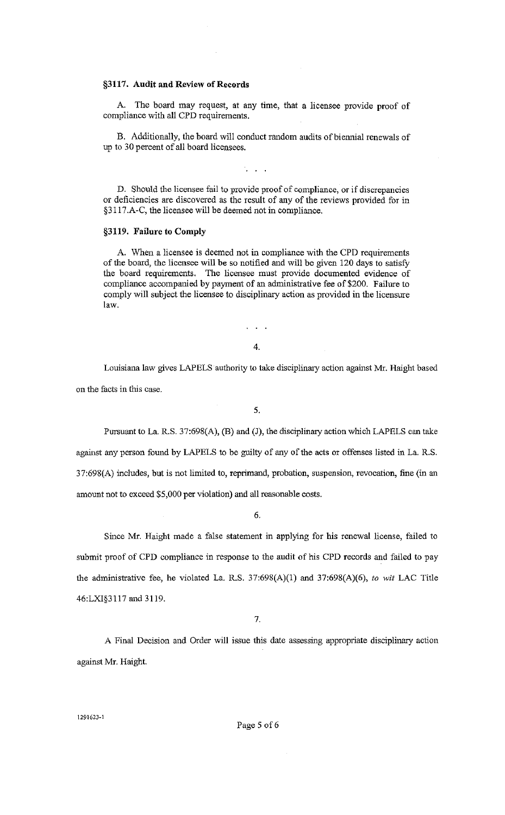# §3117. **Audit and Review of Records**

A. The board may request, at any time, that a licensee provide proof of compliance with all CPD requirements.

B. Additionally, the board will conduct random audits of biennial renewals of up to 30 percent of all board licensees.

D. Should the licensee fail to provide proof of compliance, or if discrepancies or deficiencies are discovered as the result of any of the reviews provided for in §3117.A-C, the licensee will be deemed not in compliance.

### **§3119. Failure to Comply**

A. When a licensee is deemed not in compliance with the CPD requirements of the board, the licensee will be so notified and will be given 120 days to satisfy the board requirements. The licensee must provide documented evidence of compliance accompanied by payment of an administrative fee of \$200. Failure to comply will subject the licensee to disciplinary action as provided in the licensure law.

4.

 $\sim 100$ 

Louisiana law gives LAPELS authority to take disciplinary action against Mr. Haight based on the facts in this case.

5.

Pursuant to La. R.S. 37:698(A), (B) and (J), the disciplinary action which LAPELS can take against any person found by LAPELS to be guilty of any of the acts or offenses listed in La. R.S. 37:698(A) includes, but is not limited to, reprimand, probation, suspension, revocation, fine (in an amount not to exceed \$5,000 per violation) and all reasonable costs.

6.

Since Mr. Haight made a false statement in applying for his renewal license, failed to submit proof of CPD compliance in response to the audit of his CPD records and failed to pay the administrative fee, he violated La. R.S. 37:698(A)(l) and 37:698(A)(6), *to* wit LAC Title 46:LXI§3117 and 3119.

7.

A Final Decision and Order will issue this date assessing appropriate disciplinary action against Mr. Haight.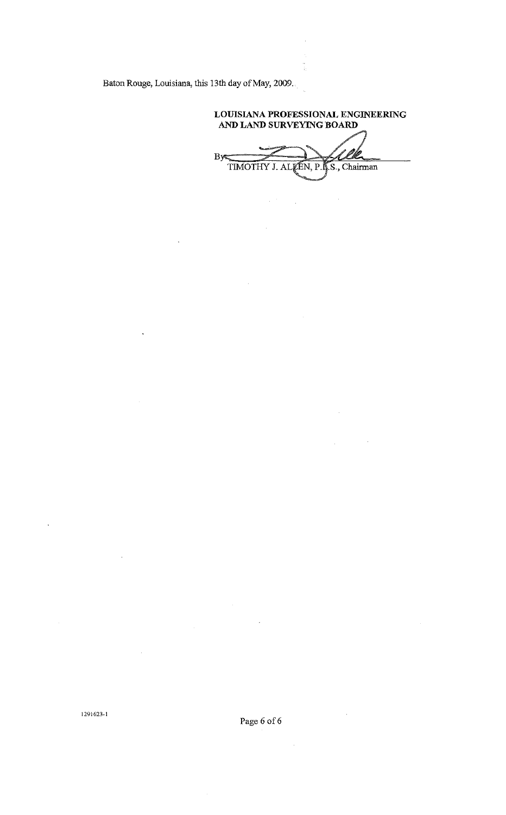Baton Rouge, Louisiana, this 13th day of May, 2009.

LOUISIANA PROFESSIONAL ENGINEERING AND LAND SURVEYING BOARD

÷<br>D

By <u>/</u> TIMOTHY J. ALLEN, P.L.S., Chairman

 $\label{eq:2.1} \frac{1}{\sqrt{2}}\int_{\mathbb{R}^{2}}\left|\frac{d\mathbf{x}}{d\mathbf{x}}\right|^{2}d\mathbf{x}^{2}d\mathbf{x}^{2}d\mathbf{x}^{2}d\mathbf{x}^{2}d\mathbf{x}^{2}d\mathbf{x}^{2}d\mathbf{x}^{2}d\mathbf{x}^{2}d\mathbf{x}^{2}d\mathbf{x}^{2}d\mathbf{x}^{2}d\mathbf{x}^{2}d\mathbf{x}^{2}d\mathbf{x}^{2}d\mathbf{x}^{2}d\mathbf{x}^{2}d\mathbf{x}^{2}d\mathbf{x}^{2}d\math$ 

1291623·1

Page 6 of 6  $\,$ 

 $\hat{\boldsymbol{\beta}}$ 

 $\sim$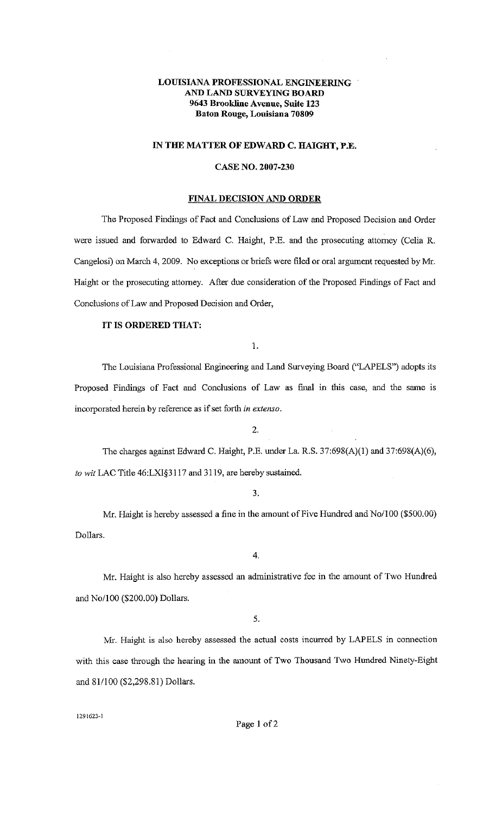# **LOUISIANA PROFESSIONAL ENGINEERING AND LAND SURVEYING BOARD 9643 Brookline Avenue, Suite 123 Baton Rouge, Louisiana 70809**

### **IN THE MATTER OF EDWARD C. HAIGHT, P.E.**

### **CASE NO. 2007-230**

### **FINAL DECISION AND ORDER**

The Proposed Findings of Fact and Conclusions of Law and Proposed Decision and Order were issued and forwarded to Edward C. Haight, P.E. and the prosecuting attomey (Celia R. Cangelosi) on March 4, 2009. No exceptions or briefs were filed or oral argument requested by Mr. Haight or the prosecuting attomey. After due consideration of the Proposed Findings of Fact and Conclusions of Law and Proposed Decision and Order,

# **IT IS ORDERED THAT:**

1.

The Louisiana Professional Engineering and Land Surveying Board ("LAPELS") adopts its Proposed Findings of Fact and Conclusions of Law as final in this case, and the same is incorporated herein by reference as if set forth in *extenso.* 

2.

The charges against Edward C. Haight, P.E. under La. R.S. 37:698(A)(l) and 37:698(A)(6), *to wit* LAC Title 46:LXI§3117 and 3119, are hereby sustained.

3.

Mr. Haight is hereby assessed a fine in the amount of Five Hundred and No/100 (\$500.00) Dollars.

4.

Mr. Haight is also hereby assessed an administrative fee in the amount of Two Hundred and No/100 (\$200.00) Dollars.

5.

Mr. Haight is also hereby assessed the actual costs incurred by LAPELS in connection with this case through the hearing in the amount of Two Thousand Two Hundred Ninety-Eight and 81/100 (\$2,298.81) Dollars.

1291623-1